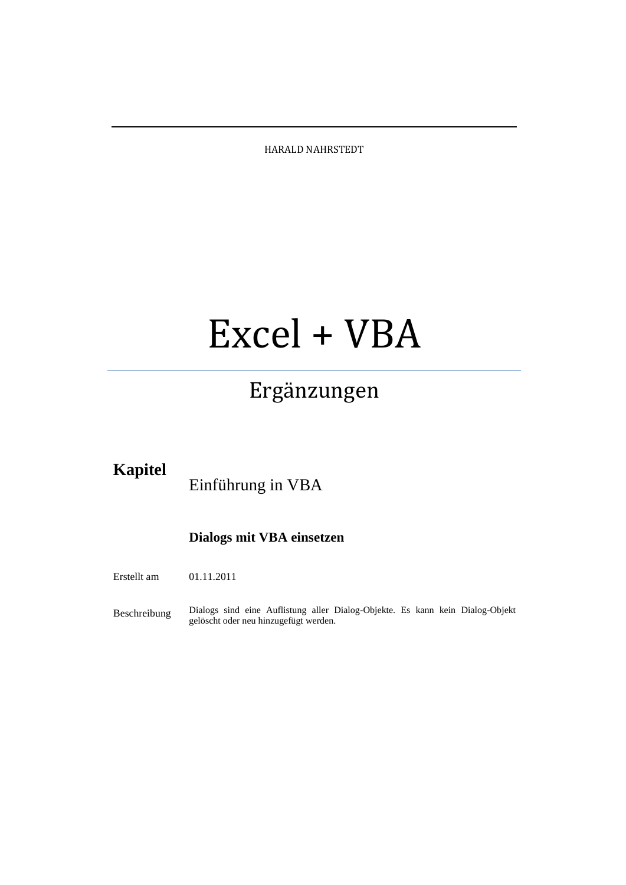HARALD NAHRSTEDT

# Excel + VBA

# Ergänzungen

## **Kapitel**

Einführung in VBA

## **Dialogs mit VBA einsetzen**

Erstellt am 01.11.2011

Beschreibung Dialogs sind eine Auflistung aller Dialog-Objekte. Es kann kein Dialog-Objekt gelöscht oder neu hinzugefügt werden.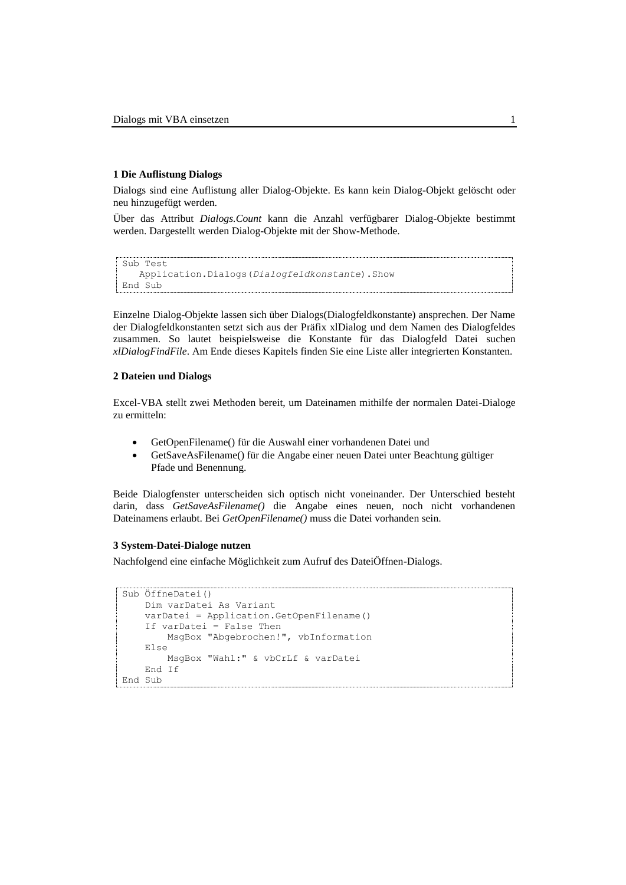#### **1 Die Auflistung Dialogs**

Dialogs sind eine Auflistung aller Dialog-Objekte. Es kann kein Dialog-Objekt gelöscht oder neu hinzugefügt werden.

Über das Attribut *Dialogs.Count* kann die Anzahl verfügbarer Dialog-Objekte bestimmt werden. Dargestellt werden Dialog-Objekte mit der Show-Methode.

```
Sub Test
    Application.Dialogs(Dialogfeldkonstante).Show
End Sub
```
Einzelne Dialog-Objekte lassen sich über Dialogs(Dialogfeldkonstante) ansprechen. Der Name der Dialogfeldkonstanten setzt sich aus der Präfix xlDialog und dem Namen des Dialogfeldes zusammen. So lautet beispielsweise die Konstante für das Dialogfeld Datei suchen *xlDialogFindFile*. Am Ende dieses Kapitels finden Sie eine Liste aller integrierten Konstanten.

#### **2 Dateien und Dialogs**

Excel-VBA stellt zwei Methoden bereit, um Dateinamen mithilfe der normalen Datei-Dialoge zu ermitteln:

- GetOpenFilename() für die Auswahl einer vorhandenen Datei und
- GetSaveAsFilename() für die Angabe einer neuen Datei unter Beachtung gültiger Pfade und Benennung.

Beide Dialogfenster unterscheiden sich optisch nicht voneinander. Der Unterschied besteht darin, dass *GetSaveAsFilename()* die Angabe eines neuen, noch nicht vorhandenen Dateinamens erlaubt. Bei *GetOpenFilename()* muss die Datei vorhanden sein.

#### **3 System-Datei-Dialoge nutzen**

Nachfolgend eine einfache Möglichkeit zum Aufruf des DateiÖffnen-Dialogs.

```
Sub ÖffneDatei()
     Dim varDatei As Variant
     varDatei = Application.GetOpenFilename()
    If varDatei = False Then
         MsgBox "Abgebrochen!", vbInformation
     Else
         MsgBox "Wahl:" & vbCrLf & varDatei
     End If
End Sub
```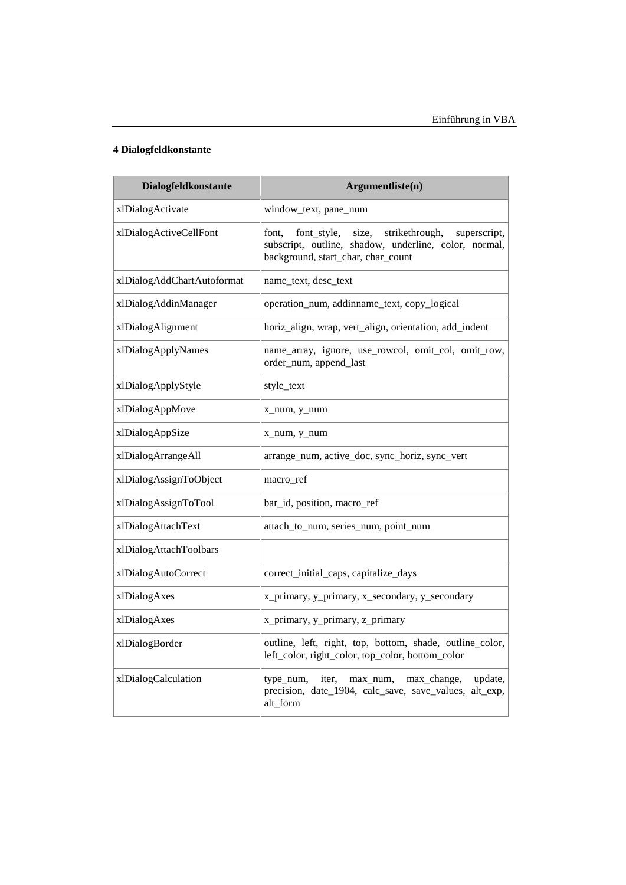### **4 Dialogfeldkonstante**

| Dialogfeldkonstante        | Argumentliste(n)                                                                                                                                               |
|----------------------------|----------------------------------------------------------------------------------------------------------------------------------------------------------------|
| xlDialogActivate           | window_text, pane_num                                                                                                                                          |
| xlDialogActiveCellFont     | size,<br>strikethrough,<br>font,<br>font style,<br>superscript,<br>subscript, outline, shadow, underline, color, normal,<br>background, start_char, char_count |
| xlDialogAddChartAutoformat | name_text, desc_text                                                                                                                                           |
| xlDialogAddinManager       | operation_num, addinname_text, copy_logical                                                                                                                    |
| xlDialogAlignment          | horiz_align, wrap, vert_align, orientation, add_indent                                                                                                         |
| xlDialogApplyNames         | name_array, ignore, use_rowcol, omit_col, omit_row,<br>order_num, append_last                                                                                  |
| xlDialogApplyStyle         | style_text                                                                                                                                                     |
| xlDialogAppMove            | x_num, y_num                                                                                                                                                   |
| xlDialogAppSize            | x_num, y_num                                                                                                                                                   |
| xlDialogArrangeAll         | arrange_num, active_doc, sync_horiz, sync_vert                                                                                                                 |
| xlDialogAssignToObject     | macro ref                                                                                                                                                      |
| xlDialogAssignToTool       | bar_id, position, macro_ref                                                                                                                                    |
| xlDialogAttachText         | attach_to_num, series_num, point_num                                                                                                                           |
| xlDialogAttachToolbars     |                                                                                                                                                                |
| xlDialogAutoCorrect        | correct_initial_caps, capitalize_days                                                                                                                          |
| xlDialogAxes               | x_primary, y_primary, x_secondary, y_secondary                                                                                                                 |
| xlDialogAxes               | x_primary, y_primary, z_primary                                                                                                                                |
| xlDialogBorder             | outline, left, right, top, bottom, shade, outline_color,<br>left_color, right_color, top_color, bottom_color                                                   |
| xlDialogCalculation        | update,<br>type_num,<br>iter.<br>max_num,<br>max_change,<br>precision, date_1904, calc_save, save_values, alt_exp,<br>alt_form                                 |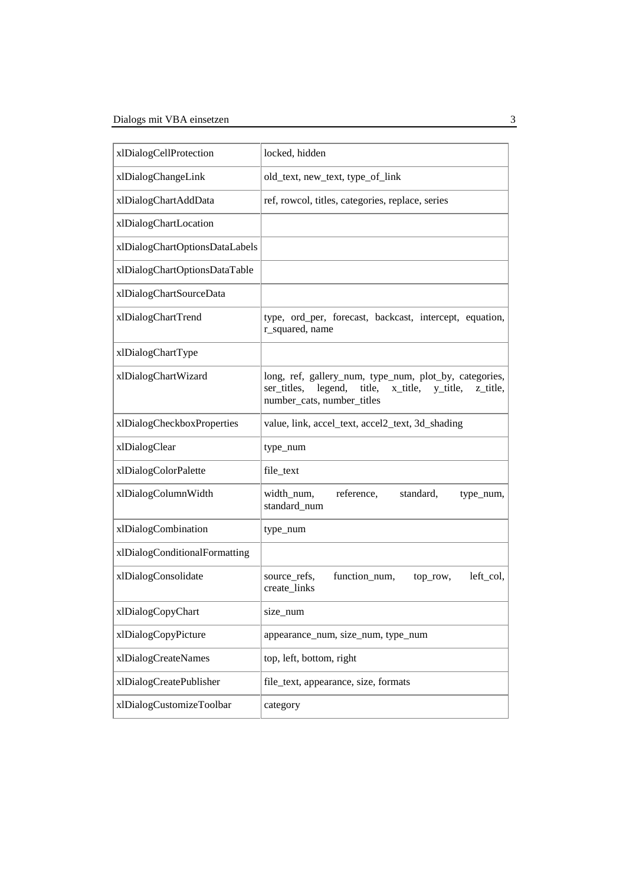| xlDialogCellProtection         | locked, hidden                                                                                                                                               |
|--------------------------------|--------------------------------------------------------------------------------------------------------------------------------------------------------------|
| xlDialogChangeLink             | old_text, new_text, type_of_link                                                                                                                             |
| xlDialogChartAddData           | ref, rowcol, titles, categories, replace, series                                                                                                             |
| xlDialogChartLocation          |                                                                                                                                                              |
| xlDialogChartOptionsDataLabels |                                                                                                                                                              |
| xlDialogChartOptionsDataTable  |                                                                                                                                                              |
| xlDialogChartSourceData        |                                                                                                                                                              |
| xlDialogChartTrend             | type, ord_per, forecast, backcast, intercept, equation,<br>r_squared, name                                                                                   |
| xlDialogChartType              |                                                                                                                                                              |
| xlDialogChartWizard            | long, ref, gallery_num, type_num, plot_by, categories,<br>legend,<br>title,<br>x_title,<br>ser titles,<br>y_title,<br>z_title,<br>number_cats, number_titles |
| xlDialogCheckboxProperties     | value, link, accel_text, accel2_text, 3d_shading                                                                                                             |
| xlDialogClear                  | type_num                                                                                                                                                     |
| xlDialogColorPalette           | file_text                                                                                                                                                    |
| xlDialogColumnWidth            | width_num,<br>reference,<br>standard,<br>type_num,<br>standard_num                                                                                           |
| xlDialogCombination            | type_num                                                                                                                                                     |
| xlDialogConditionalFormatting  |                                                                                                                                                              |
| xlDialogConsolidate            | function_num,<br>left_col,<br>source_refs,<br>top_row,<br>create_links                                                                                       |
| xlDialogCopyChart              | size_num                                                                                                                                                     |
| xlDialogCopyPicture            | appearance_num, size_num, type_num                                                                                                                           |
| xlDialogCreateNames            | top, left, bottom, right                                                                                                                                     |
| xlDialogCreatePublisher        | file_text, appearance, size, formats                                                                                                                         |
| xlDialogCustomizeToolbar       | category                                                                                                                                                     |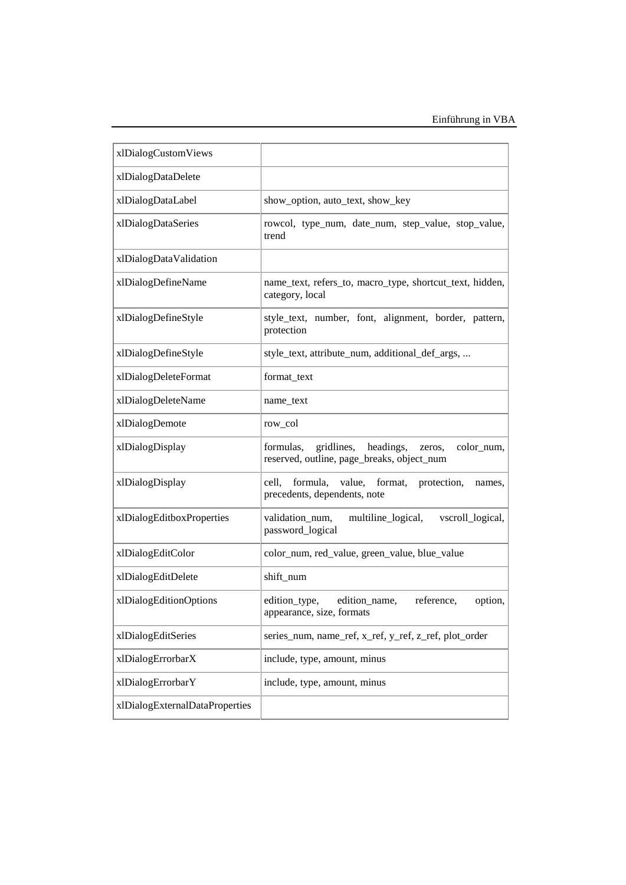| xlDialogCustomViews            |                                                                                                            |
|--------------------------------|------------------------------------------------------------------------------------------------------------|
| xlDialogDataDelete             |                                                                                                            |
| xlDialogDataLabel              | show_option, auto_text, show_key                                                                           |
| xlDialogDataSeries             | rowcol, type_num, date_num, step_value, stop_value,<br>trend                                               |
| xlDialogDataValidation         |                                                                                                            |
| xlDialogDefineName             | name_text, refers_to, macro_type, shortcut_text, hidden,<br>category, local                                |
| xlDialogDefineStyle            | style_text, number, font, alignment, border, pattern,<br>protection                                        |
| xlDialogDefineStyle            | style_text, attribute_num, additional_def_args,                                                            |
| xlDialogDeleteFormat           | format_text                                                                                                |
| xlDialogDeleteName             | name_text                                                                                                  |
| xlDialogDemote                 | row_col                                                                                                    |
| xlDialogDisplay                | gridlines,<br>headings,<br>color_num,<br>formulas,<br>zeros,<br>reserved, outline, page_breaks, object_num |
| xlDialogDisplay                | formula,<br>value,<br>format,<br>cell,<br>protection,<br>names,<br>precedents, dependents, note            |
| xlDialogEditboxProperties      | validation_num,<br>multiline_logical,<br>vscroll_logical,<br>password_logical                              |
| xlDialogEditColor              | color_num, red_value, green_value, blue_value                                                              |
| xlDialogEditDelete             | shift_num                                                                                                  |
| xlDialogEditionOptions         | edition_type,<br>edition_name,<br>reference,<br>option,<br>appearance, size, formats                       |
| xlDialogEditSeries             | series_num, name_ref, x_ref, y_ref, z_ref, plot_order                                                      |
| xlDialogErrorbarX              | include, type, amount, minus                                                                               |
| xlDialogErrorbarY              | include, type, amount, minus                                                                               |
| xlDialogExternalDataProperties |                                                                                                            |
|                                |                                                                                                            |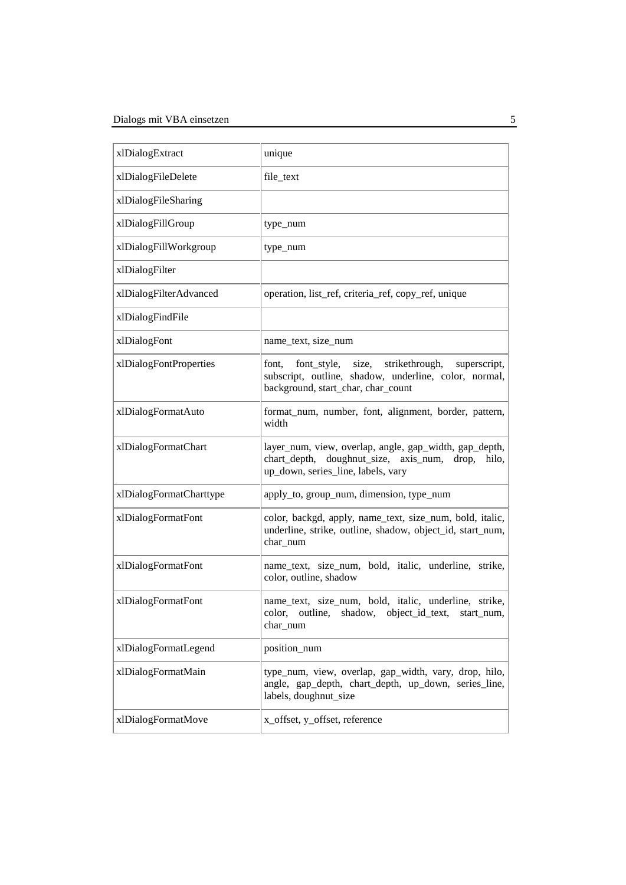| xlDialogExtract         | unique                                                                                                                                                         |
|-------------------------|----------------------------------------------------------------------------------------------------------------------------------------------------------------|
| xlDialogFileDelete      | file_text                                                                                                                                                      |
| xlDialogFileSharing     |                                                                                                                                                                |
| xlDialogFillGroup       | type_num                                                                                                                                                       |
| xlDialogFillWorkgroup   | type_num                                                                                                                                                       |
| xlDialogFilter          |                                                                                                                                                                |
| xlDialogFilterAdvanced  | operation, list_ref, criteria_ref, copy_ref, unique                                                                                                            |
| xlDialogFindFile        |                                                                                                                                                                |
| xlDialogFont            | name_text, size_num                                                                                                                                            |
| xlDialogFontProperties  | font style,<br>size,<br>strikethrough,<br>superscript,<br>font,<br>subscript, outline, shadow, underline, color, normal,<br>background, start_char, char_count |
| xlDialogFormatAuto      | format_num, number, font, alignment, border, pattern,<br>width                                                                                                 |
| xlDialogFormatChart     | layer_num, view, overlap, angle, gap_width, gap_depth,<br>chart_depth, doughnut_size, axis_num, drop,<br>hilo,<br>up_down, series_line, labels, vary           |
| xlDialogFormatCharttype | apply_to, group_num, dimension, type_num                                                                                                                       |
| xlDialogFormatFont      | color, backgd, apply, name_text, size_num, bold, italic,<br>underline, strike, outline, shadow, object_id, start_num,<br>char_num                              |
| xlDialogFormatFont      | name_text, size_num, bold, italic, underline, strike,<br>color, outline, shadow                                                                                |
| xlDialogFormatFont      | name_text, size_num, bold, italic, underline, strike,<br>color, outline, shadow, object_id_text, start_num,<br>char_num                                        |
| xlDialogFormatLegend    | position_num                                                                                                                                                   |
| xlDialogFormatMain      | type_num, view, overlap, gap_width, vary, drop, hilo,<br>angle, gap_depth, chart_depth, up_down, series_line,<br>labels, doughnut_size                         |
| xlDialogFormatMove      | x_offset, y_offset, reference                                                                                                                                  |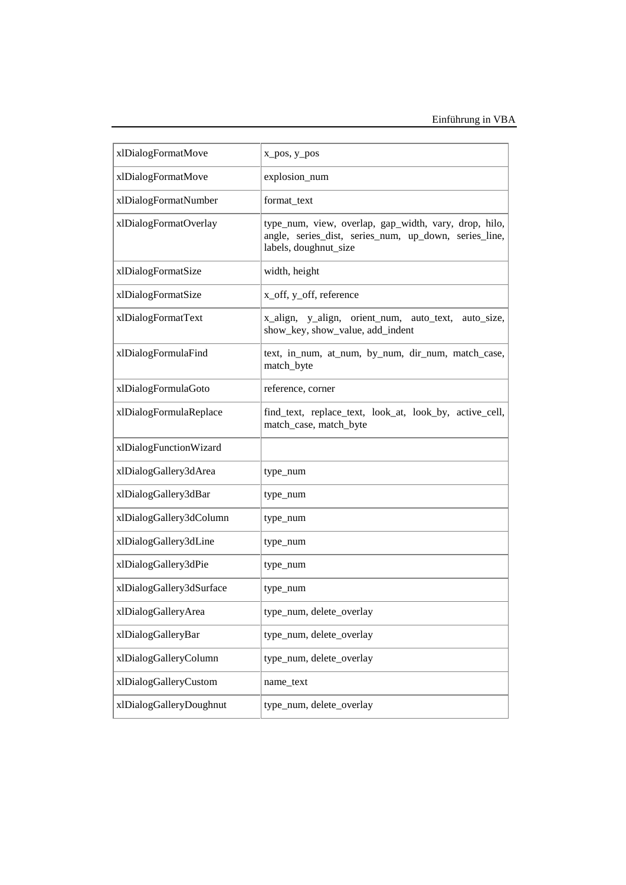| xlDialogFormatMove       | x_pos, y_pos                                                                                                                            |
|--------------------------|-----------------------------------------------------------------------------------------------------------------------------------------|
| xlDialogFormatMove       | explosion_num                                                                                                                           |
| xlDialogFormatNumber     | format_text                                                                                                                             |
| xlDialogFormatOverlay    | type_num, view, overlap, gap_width, vary, drop, hilo,<br>angle, series_dist, series_num, up_down, series_line,<br>labels, doughnut_size |
| xlDialogFormatSize       | width, height                                                                                                                           |
| xlDialogFormatSize       | x_off, y_off, reference                                                                                                                 |
| xlDialogFormatText       | x_align, y_align, orient_num, auto_text,<br>auto_size,<br>show_key, show_value, add_indent                                              |
| xlDialogFormulaFind      | text, in_num, at_num, by_num, dir_num, match_case,<br>match_byte                                                                        |
| xlDialogFormulaGoto      | reference, corner                                                                                                                       |
| xlDialogFormulaReplace   | find_text, replace_text, look_at, look_by, active_cell,<br>match_case, match_byte                                                       |
| xlDialogFunctionWizard   |                                                                                                                                         |
| xlDialogGallery3dArea    | type_num                                                                                                                                |
| xlDialogGallery3dBar     | type_num                                                                                                                                |
| xlDialogGallery3dColumn  | type_num                                                                                                                                |
| xlDialogGallery3dLine    | type_num                                                                                                                                |
| xlDialogGallery3dPie     | type_num                                                                                                                                |
| xlDialogGallery3dSurface | type_num                                                                                                                                |
| xlDialogGalleryArea      | type_num, delete_overlay                                                                                                                |
| xlDialogGalleryBar       | type_num, delete_overlay                                                                                                                |
| xlDialogGalleryColumn    | type_num, delete_overlay                                                                                                                |
| xlDialogGalleryCustom    | name_text                                                                                                                               |
| xlDialogGalleryDoughnut  | type_num, delete_overlay                                                                                                                |
|                          |                                                                                                                                         |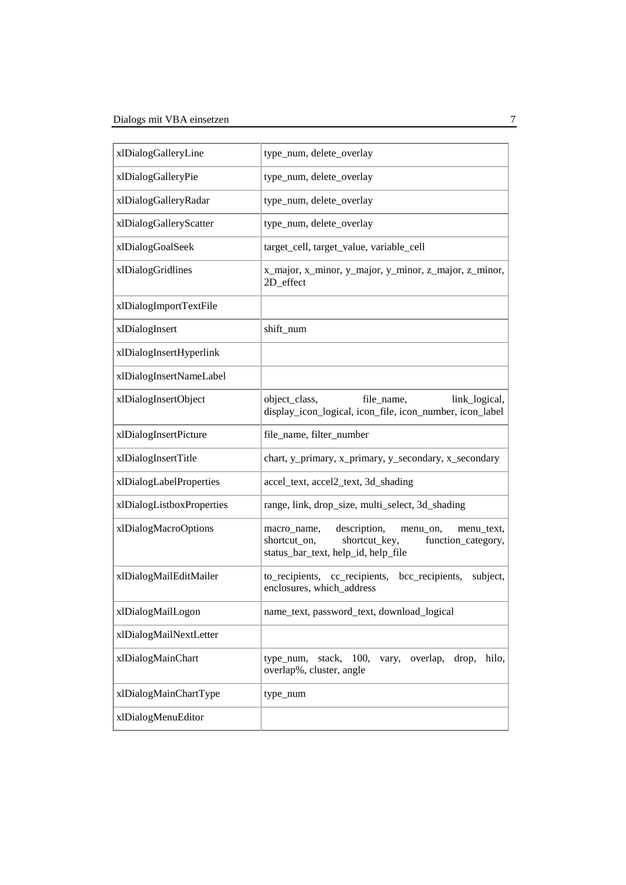| xlDialogGalleryLine       | type_num, delete_overlay                                                                                                                            |
|---------------------------|-----------------------------------------------------------------------------------------------------------------------------------------------------|
| xlDialogGalleryPie        | type_num, delete_overlay                                                                                                                            |
| xlDialogGalleryRadar      | type_num, delete_overlay                                                                                                                            |
| xlDialogGalleryScatter    | type_num, delete_overlay                                                                                                                            |
| xlDialogGoalSeek          | target_cell, target_value, variable_cell                                                                                                            |
| xlDialogGridlines         | x_major, x_minor, y_major, y_minor, z_major, z_minor,<br>2D_effect                                                                                  |
| xlDialogImportTextFile    |                                                                                                                                                     |
| xlDialogInsert            | shift_num                                                                                                                                           |
| xlDialogInsertHyperlink   |                                                                                                                                                     |
| xlDialogInsertNameLabel   |                                                                                                                                                     |
| xlDialogInsertObject      | object_class,<br>file_name,<br>link_logical,<br>display_icon_logical, icon_file, icon_number, icon_label                                            |
| xlDialogInsertPicture     | file_name, filter_number                                                                                                                            |
| xlDialogInsertTitle       | chart, y_primary, x_primary, y_secondary, x_secondary                                                                                               |
| xlDialogLabelProperties   | accel_text, accel2_text, 3d_shading                                                                                                                 |
| xlDialogListboxProperties | range, link, drop_size, multi_select, 3d_shading                                                                                                    |
| xlDialogMacroOptions      | description,<br>macro_name,<br>menu_on,<br>menu_text,<br>shortcut_key,<br>function_category,<br>shortcut_on,<br>status_bar_text, help_id, help_file |
| xlDialogMailEditMailer    | to_recipients, cc_recipients,<br>bcc_recipients,<br>subject,<br>enclosures, which_address                                                           |
| xlDialogMailLogon         | name_text, password_text, download_logical                                                                                                          |
| xlDialogMailNextLetter    |                                                                                                                                                     |
| xlDialogMainChart         | overlap,<br>hilo,<br>stack, $100$ ,<br>drop,<br>type_num,<br>vary,<br>overlap%, cluster, angle                                                      |
| xlDialogMainChartType     | type_num                                                                                                                                            |
| xlDialogMenuEditor        |                                                                                                                                                     |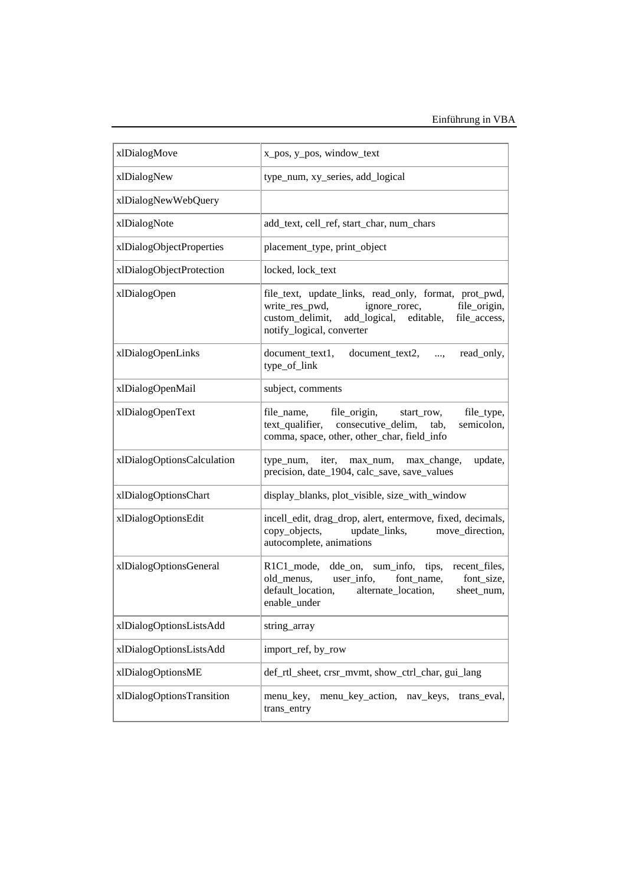| xlDialogMove               | x_pos, y_pos, window_text                                                                                                                                                                          |
|----------------------------|----------------------------------------------------------------------------------------------------------------------------------------------------------------------------------------------------|
| xlDialogNew                | type_num, xy_series, add_logical                                                                                                                                                                   |
| xlDialogNewWebQuery        |                                                                                                                                                                                                    |
| xlDialogNote               | add_text, cell_ref, start_char, num_chars                                                                                                                                                          |
| xlDialogObjectProperties   | placement_type, print_object                                                                                                                                                                       |
| xlDialogObjectProtection   | locked, lock_text                                                                                                                                                                                  |
| xlDialogOpen               | file_text, update_links, read_only, format, prot_pwd,<br>write_res_pwd,<br>ignore_rorec,<br>file_origin,<br>add_logical, editable,<br>custom_delimit,<br>file_access,<br>notify_logical, converter |
| xlDialogOpenLinks          | document_text2,<br>document_text1,<br>read_only,<br>$\cdots$<br>type_of_link                                                                                                                       |
| xlDialogOpenMail           | subject, comments                                                                                                                                                                                  |
| xlDialogOpenText           | file_origin,<br>file_type,<br>file_name,<br>start row,<br>text_qualifier, consecutive_delim,<br>semicolon,<br>tab,<br>comma, space, other, other_char, field_info                                  |
| xlDialogOptionsCalculation | type_num, iter, max_num, max_change,<br>update,<br>precision, date_1904, calc_save, save_values                                                                                                    |
| xlDialogOptionsChart       | display_blanks, plot_visible, size_with_window                                                                                                                                                     |
| xlDialogOptionsEdit        | incell_edit, drag_drop, alert, entermove, fixed, decimals,<br>copy_objects,<br>update_links, move_direction,<br>autocomplete, animations                                                           |
| xlDialogOptionsGeneral     | R1C1_mode, dde_on, sum_info, tips, recent_files,<br>old_menus,<br>user_info,<br>font name,<br>font_size,<br>default_location,<br>alternate_location,<br>sheet_num,<br>enable under                 |
| xlDialogOptionsListsAdd    | string_array                                                                                                                                                                                       |
| xlDialogOptionsListsAdd    | import_ref, by_row                                                                                                                                                                                 |
| xlDialogOptionsME          | def_rtl_sheet, crsr_mvmt, show_ctrl_char, gui_lang                                                                                                                                                 |
| xlDialogOptionsTransition  | menu_key_action,<br>menu_key,<br>nav_keys,<br>trans_eval,<br>trans_entry                                                                                                                           |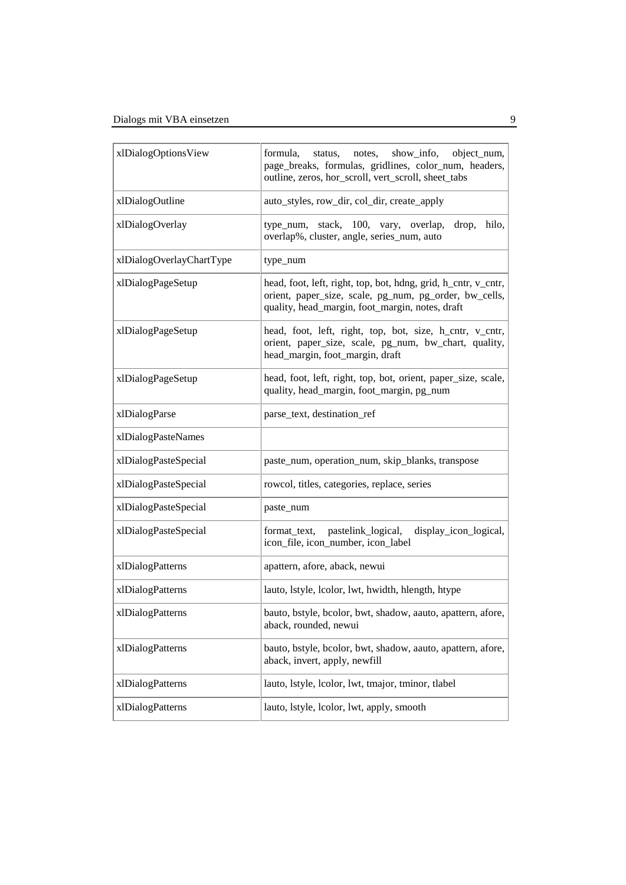| xlDialogOptionsView      | show_info,<br>object_num,<br>formula.<br>notes,<br>status,<br>page_breaks, formulas, gridlines, color_num, headers,<br>outline, zeros, hor_scroll, vert_scroll, sheet_tabs  |
|--------------------------|-----------------------------------------------------------------------------------------------------------------------------------------------------------------------------|
| xlDialogOutline          | auto_styles, row_dir, col_dir, create_apply                                                                                                                                 |
| xlDialogOverlay          | type_num, stack, 100, vary, overlap,<br>hilo,<br>drop,<br>overlap%, cluster, angle, series_num, auto                                                                        |
| xlDialogOverlayChartType | type_num                                                                                                                                                                    |
| xlDialogPageSetup        | head, foot, left, right, top, bot, hdng, grid, h_cntr, v_cntr,<br>orient, paper_size, scale, pg_num, pg_order, bw_cells,<br>quality, head_margin, foot_margin, notes, draft |
| xlDialogPageSetup        | head, foot, left, right, top, bot, size, h_cntr, v_cntr,<br>orient, paper_size, scale, pg_num, bw_chart, quality,<br>head_margin, foot_margin, draft                        |
| xlDialogPageSetup        | head, foot, left, right, top, bot, orient, paper_size, scale,<br>quality, head_margin, foot_margin, pg_num                                                                  |
| xlDialogParse            | parse_text, destination_ref                                                                                                                                                 |
| xlDialogPasteNames       |                                                                                                                                                                             |
| xlDialogPasteSpecial     | paste_num, operation_num, skip_blanks, transpose                                                                                                                            |
| xlDialogPasteSpecial     | rowcol, titles, categories, replace, series                                                                                                                                 |
| xlDialogPasteSpecial     | paste_num                                                                                                                                                                   |
| xlDialogPasteSpecial     | format_text, pastelink_logical,<br>display_icon_logical,<br>icon_file, icon_number, icon_label                                                                              |
| xlDialogPatterns         | apattern, afore, aback, newui                                                                                                                                               |
| xlDialogPatterns         | lauto, lstyle, lcolor, lwt, hwidth, hlength, htype                                                                                                                          |
| xlDialogPatterns         | bauto, bstyle, bcolor, bwt, shadow, aauto, apattern, afore,<br>aback, rounded, newui                                                                                        |
| xlDialogPatterns         | bauto, bstyle, bcolor, bwt, shadow, aauto, apattern, afore,<br>aback, invert, apply, newfill                                                                                |
| xlDialogPatterns         | lauto, lstyle, lcolor, lwt, tmajor, tminor, tlabel                                                                                                                          |
| xlDialogPatterns         | lauto, lstyle, lcolor, lwt, apply, smooth                                                                                                                                   |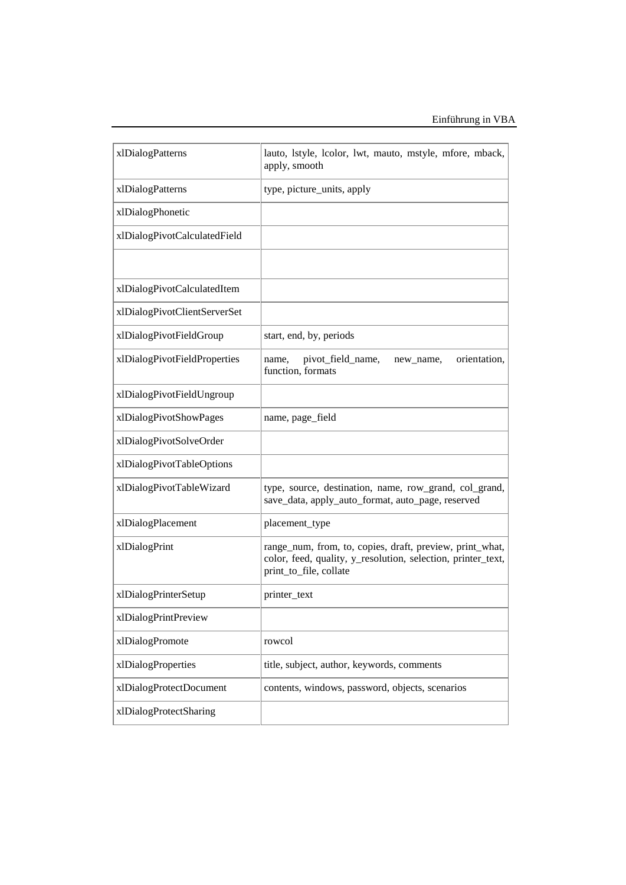| xlDialogPatterns             | lauto, lstyle, lcolor, lwt, mauto, mstyle, mfore, mback,<br>apply, smooth                                                                          |
|------------------------------|----------------------------------------------------------------------------------------------------------------------------------------------------|
| xlDialogPatterns             | type, picture_units, apply                                                                                                                         |
| xlDialogPhonetic             |                                                                                                                                                    |
| xlDialogPivotCalculatedField |                                                                                                                                                    |
|                              |                                                                                                                                                    |
| xlDialogPivotCalculatedItem  |                                                                                                                                                    |
| xlDialogPivotClientServerSet |                                                                                                                                                    |
| xlDialogPivotFieldGroup      | start, end, by, periods                                                                                                                            |
| xlDialogPivotFieldProperties | orientation,<br>pivot_field_name,<br>name,<br>new_name,<br>function, formats                                                                       |
| xlDialogPivotFieldUngroup    |                                                                                                                                                    |
| xlDialogPivotShowPages       | name, page_field                                                                                                                                   |
| xlDialogPivotSolveOrder      |                                                                                                                                                    |
| xlDialogPivotTableOptions    |                                                                                                                                                    |
| xlDialogPivotTableWizard     | type, source, destination, name, row_grand, col_grand,<br>save_data, apply_auto_format, auto_page, reserved                                        |
| xlDialogPlacement            | placement_type                                                                                                                                     |
| xlDialogPrint                | range_num, from, to, copies, draft, preview, print_what,<br>color, feed, quality, y_resolution, selection, printer_text,<br>print_to_file, collate |
| xlDialogPrinterSetup         | printer_text                                                                                                                                       |
| xlDialogPrintPreview         |                                                                                                                                                    |
| xlDialogPromote              | rowcol                                                                                                                                             |
| xlDialogProperties           | title, subject, author, keywords, comments                                                                                                         |
| xlDialogProtectDocument      | contents, windows, password, objects, scenarios                                                                                                    |
| xlDialogProtectSharing       |                                                                                                                                                    |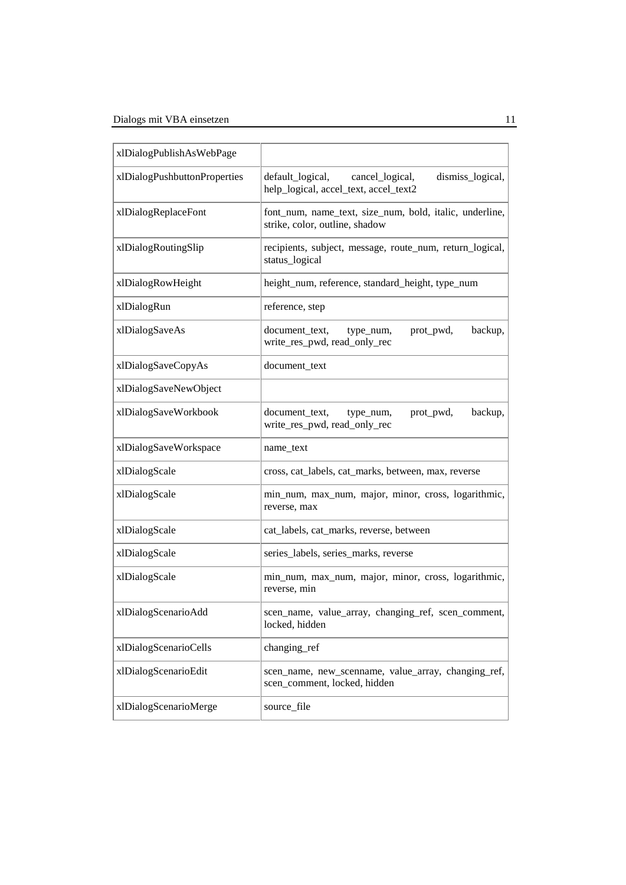| xlDialogPublishAsWebPage     |                                                                                                  |
|------------------------------|--------------------------------------------------------------------------------------------------|
| xlDialogPushbuttonProperties | dismiss_logical,<br>default_logical,<br>cancel_logical,<br>help_logical, accel_text, accel_text2 |
| xlDialogReplaceFont          | font_num, name_text, size_num, bold, italic, underline,<br>strike, color, outline, shadow        |
| xlDialogRoutingSlip          | recipients, subject, message, route_num, return_logical,<br>status_logical                       |
| xlDialogRowHeight            | height_num, reference, standard_height, type_num                                                 |
| xlDialogRun                  | reference, step                                                                                  |
| xlDialogSaveAs               | prot_pwd,<br>backup,<br>document_text,<br>type_num,<br>write_res_pwd, read_only_rec              |
| xlDialogSaveCopyAs           | document_text                                                                                    |
| xlDialogSaveNewObject        |                                                                                                  |
| xlDialogSaveWorkbook         | backup,<br>document_text,<br>prot_pwd,<br>type_num,<br>write_res_pwd, read_only_rec              |
| xlDialogSaveWorkspace        | name_text                                                                                        |
| xlDialogScale                | cross, cat_labels, cat_marks, between, max, reverse                                              |
| xlDialogScale                | min_num, max_num, major, minor, cross, logarithmic,<br>reverse, max                              |
| xlDialogScale                | cat_labels, cat_marks, reverse, between                                                          |
| xlDialogScale                | series_labels, series_marks, reverse                                                             |
| xlDialogScale                | min_num, max_num, major, minor, cross, logarithmic,<br>reverse, min                              |
| xlDialogScenarioAdd          | scen_name, value_array, changing_ref, scen_comment,<br>locked, hidden                            |
| xlDialogScenarioCells        | changing_ref                                                                                     |
| xlDialogScenarioEdit         | scen_name, new_scenname, value_array, changing_ref,<br>scen_comment, locked, hidden              |
| xlDialogScenarioMerge        | source_file                                                                                      |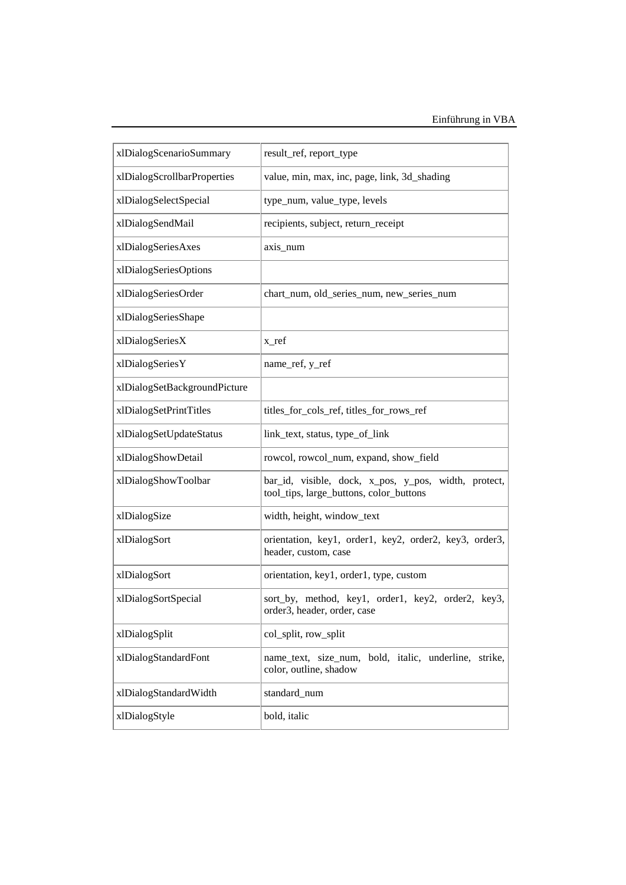| xlDialogScenarioSummary      | result_ref, report_type                                                                         |
|------------------------------|-------------------------------------------------------------------------------------------------|
| xlDialogScrollbarProperties  | value, min, max, inc, page, link, 3d_shading                                                    |
| xlDialogSelectSpecial        | type_num, value_type, levels                                                                    |
| xlDialogSendMail             | recipients, subject, return_receipt                                                             |
| xlDialogSeriesAxes           | axis_num                                                                                        |
| xlDialogSeriesOptions        |                                                                                                 |
| xlDialogSeriesOrder          | chart_num, old_series_num, new_series_num                                                       |
| xlDialogSeriesShape          |                                                                                                 |
| xlDialogSeriesX              | x_ref                                                                                           |
| xlDialogSeriesY              | name_ref, y_ref                                                                                 |
| xlDialogSetBackgroundPicture |                                                                                                 |
| xlDialogSetPrintTitles       | titles_for_cols_ref, titles_for_rows_ref                                                        |
| xlDialogSetUpdateStatus      | link_text, status, type_of_link                                                                 |
| xlDialogShowDetail           | rowcol, rowcol_num, expand, show_field                                                          |
| xlDialogShowToolbar          | bar_id, visible, dock, x_pos, y_pos, width, protect,<br>tool_tips, large_buttons, color_buttons |
| xlDialogSize                 | width, height, window_text                                                                      |
| xlDialogSort                 | orientation, key1, order1, key2, order2, key3, order3,<br>header, custom, case                  |
| xlDialogSort                 | orientation, key1, order1, type, custom                                                         |
| xlDialogSortSpecial          | sort_by, method, key1, order1, key2, order2, key3,<br>order3, header, order, case               |
| xlDialogSplit                | col_split, row_split                                                                            |
| xlDialogStandardFont         | name_text, size_num, bold, italic, underline, strike,<br>color, outline, shadow                 |
| xlDialogStandardWidth        | standard_num                                                                                    |
| xlDialogStyle                | bold, italic                                                                                    |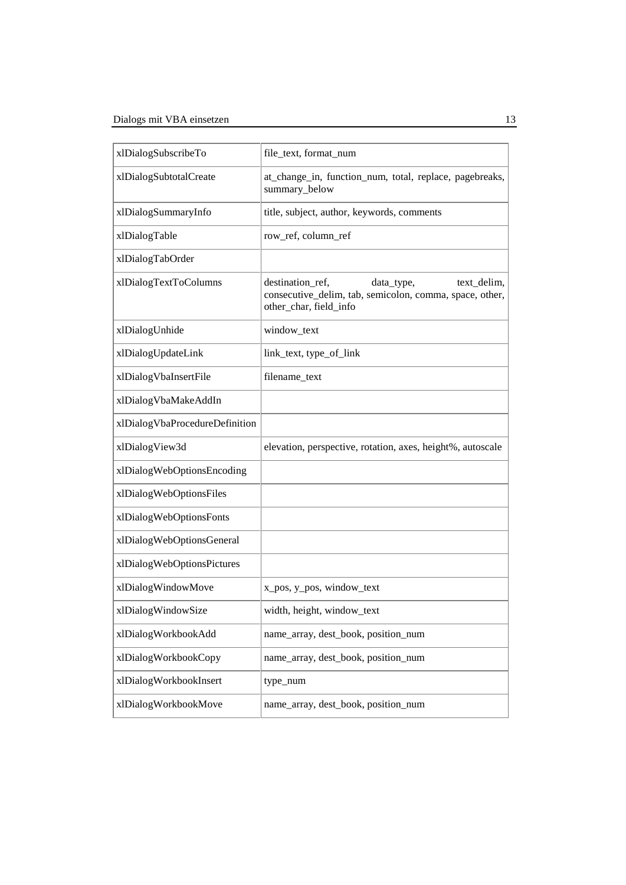| xlDialogSubscribeTo            | file_text, format_num                                                                                                              |
|--------------------------------|------------------------------------------------------------------------------------------------------------------------------------|
| xlDialogSubtotalCreate         | at_change_in, function_num, total, replace, pagebreaks,<br>summary_below                                                           |
| xlDialogSummaryInfo            | title, subject, author, keywords, comments                                                                                         |
| xlDialogTable                  | row_ref, column_ref                                                                                                                |
| xlDialogTabOrder               |                                                                                                                                    |
| xlDialogTextToColumns          | destination ref,<br>data_type,<br>text_delim,<br>consecutive_delim, tab, semicolon, comma, space, other,<br>other_char, field_info |
| xlDialogUnhide                 | window_text                                                                                                                        |
| xlDialogUpdateLink             | link_text, type_of_link                                                                                                            |
| xlDialogVbaInsertFile          | filename_text                                                                                                                      |
| xlDialogVbaMakeAddIn           |                                                                                                                                    |
| xlDialogVbaProcedureDefinition |                                                                                                                                    |
| xlDialogView3d                 | elevation, perspective, rotation, axes, height%, autoscale                                                                         |
| xlDialogWebOptionsEncoding     |                                                                                                                                    |
| xlDialogWebOptionsFiles        |                                                                                                                                    |
| xlDialogWebOptionsFonts        |                                                                                                                                    |
| xlDialogWebOptionsGeneral      |                                                                                                                                    |
| xlDialogWebOptionsPictures     |                                                                                                                                    |
| xlDialogWindowMove             | x_pos, y_pos, window_text                                                                                                          |
| xlDialogWindowSize             | width, height, window_text                                                                                                         |
| xlDialogWorkbookAdd            | name_array, dest_book, position_num                                                                                                |
| xlDialogWorkbookCopy           | name_array, dest_book, position_num                                                                                                |
| xlDialogWorkbookInsert         | type_num                                                                                                                           |
| xlDialogWorkbookMove           | name_array, dest_book, position_num                                                                                                |